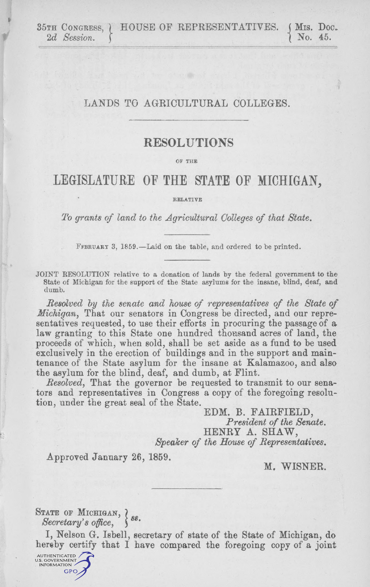35TH CONGRESS, HOUSE OF REPRESENTATIVES. (MIS. Doc. 2d Session. ) 2d Session.

## LANDS TO AGRICULTURAL COLLEGES.

## RESOLUTIONS

or THE

## LEGISLATURE OF THE STATE OF MICHIGAN,

• RELATIVE

To grants of land to the Agricultural Colleges of that State.

February 3, 1859.—Laid on the table, and ordered to be printed.

JOINT RESOLUTION relative to a donation of lands by the federal government to the State of Michigan for the support of the State asylums for the insane, blind, deaf, and dumb.

Resolved hy the senate and house of representatives of the State of Michigan, That our senators in Congress be directed, and our representatives requested, to use their efforts in procuring the passage of a law granting to this State one hundred thousand acres of land, the proceeds of which, when sold, shall be set aside as a fund to he used exclusively in the erection of buildings and in the support and maintenance of the State asylum for the insane at Kalamazoo, and also the asylum for the blind, deaf, and dumb, at Flint.

Resolved, That the governor be requested to transmit to our senators and representatives in Congress a copy of the foregoing resolution, under the great seal of the State.

> EDM. B. FAIRFIELD, President of the Senate. HENRY A. SHAW, Speaker of the House of Representatives.

Approved January 26, 1859.

M. WISNER.

## STATE OF MICHIGAN,  $?$

Secretary's office,  $\S$ <sup>88.</sup>

I, Nelson G. Isbell, secretary of state of the State of Michigan, do hereby certify that I have compared the foregoing copy of a joint

AUTHENTICATED<br>U.S. GOVERNMENT FORMATIO **GPO**